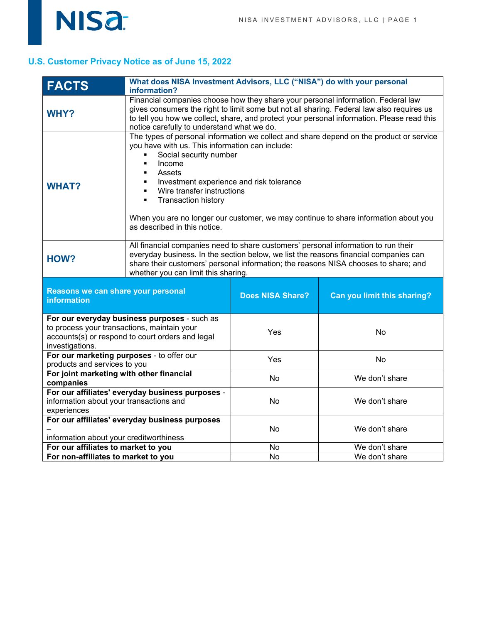## **U.S. Customer Privacy Notice as of June 15, 2022**

**NISa:** 

| <b>FACTS</b>                                                                                                                                                       | What does NISA Investment Advisors, LLC ("NISA") do with your personal<br>information?                                                                                                                                                                                                                                                                                                                                                                                                                            |                         |                             |
|--------------------------------------------------------------------------------------------------------------------------------------------------------------------|-------------------------------------------------------------------------------------------------------------------------------------------------------------------------------------------------------------------------------------------------------------------------------------------------------------------------------------------------------------------------------------------------------------------------------------------------------------------------------------------------------------------|-------------------------|-----------------------------|
| <b>WHY?</b>                                                                                                                                                        | Financial companies choose how they share your personal information. Federal law<br>gives consumers the right to limit some but not all sharing. Federal law also requires us<br>to tell you how we collect, share, and protect your personal information. Please read this<br>notice carefully to understand what we do.                                                                                                                                                                                         |                         |                             |
| <b>WHAT?</b>                                                                                                                                                       | The types of personal information we collect and share depend on the product or service<br>you have with us. This information can include:<br>Social security number<br>Income<br>$\blacksquare$<br>Assets<br>$\blacksquare$<br>Investment experience and risk tolerance<br>$\blacksquare$<br>Wire transfer instructions<br>$\blacksquare$<br><b>Transaction history</b><br>$\blacksquare$<br>When you are no longer our customer, we may continue to share information about you<br>as described in this notice. |                         |                             |
| HOW?                                                                                                                                                               | All financial companies need to share customers' personal information to run their<br>everyday business. In the section below, we list the reasons financial companies can<br>share their customers' personal information; the reasons NISA chooses to share; and<br>whether you can limit this sharing.                                                                                                                                                                                                          |                         |                             |
| Reasons we can share your personal<br><b>information</b>                                                                                                           |                                                                                                                                                                                                                                                                                                                                                                                                                                                                                                                   | <b>Does NISA Share?</b> | Can you limit this sharing? |
| For our everyday business purposes - such as<br>to process your transactions, maintain your<br>accounts(s) or respond to court orders and legal<br>investigations. |                                                                                                                                                                                                                                                                                                                                                                                                                                                                                                                   | Yes                     | <b>No</b>                   |
| For our marketing purposes - to offer our<br>products and services to you                                                                                          |                                                                                                                                                                                                                                                                                                                                                                                                                                                                                                                   | Yes                     | <b>No</b>                   |
| For joint marketing with other financial<br>companies                                                                                                              |                                                                                                                                                                                                                                                                                                                                                                                                                                                                                                                   | No                      | We don't share              |
| For our affiliates' everyday business purposes -<br>information about your transactions and<br>experiences                                                         |                                                                                                                                                                                                                                                                                                                                                                                                                                                                                                                   | No                      | We don't share              |
| For our affiliates' everyday business purposes<br>information about your creditworthiness                                                                          |                                                                                                                                                                                                                                                                                                                                                                                                                                                                                                                   | No                      | We don't share              |
| For our affiliates to market to you                                                                                                                                |                                                                                                                                                                                                                                                                                                                                                                                                                                                                                                                   | No                      | We don't share              |
| For non-affiliates to market to you                                                                                                                                |                                                                                                                                                                                                                                                                                                                                                                                                                                                                                                                   | No                      | We don't share              |